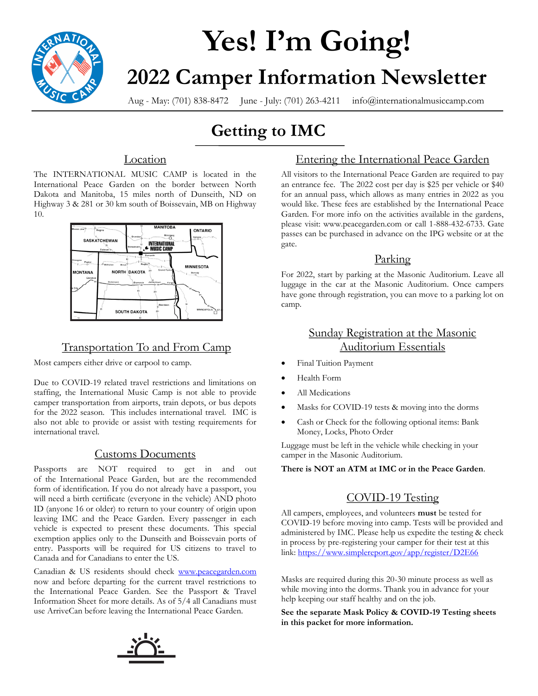

# **Yes! I'm Going! 2022 Camper Information Newsletter**

Aug - May: (701) 838-8472 June - July: (701) 263-4211 info@internationalmusiccamp.com

# **Getting to IMC**

#### **Location**

The INTERNATIONAL MUSIC CAMP is located in the International Peace Garden on the border between North Dakota and Manitoba, 15 miles north of Dunseith, ND on Highway 3 & 281 or 30 km south of Boissevain, MB on Highway 10.



### Transportation To and From Camp

Most campers either drive or carpool to camp.

Due to COVID-19 related travel restrictions and limitations on staffing, the International Music Camp is not able to provide camper transportation from airports, train depots, or bus depots for the 2022 season. This includes international travel. IMC is also not able to provide or assist with testing requirements for international travel.

#### Customs Documents

Passports are NOT required to get in and out of the International Peace Garden, but are the recommended form of identification. If you do not already have a passport, you will need a birth certificate (everyone in the vehicle) AND photo ID (anyone 16 or older) to return to your country of origin upon leaving IMC and the Peace Garden. Every passenger in each vehicle is expected to present these documents. This special exemption applies only to the Dunseith and Boissevain ports of entry. Passports will be required for US citizens to travel to Canada and for Canadians to enter the US.

Canadian & US residents should check [www.peacegarden.com](https://peacegarden.com/)  now and before departing for the current travel restrictions to the International Peace Garden. See the Passport & Travel Information Sheet for more details. As of 5/4 all Canadians must use ArriveCan before leaving the International Peace Garden.

### Entering the International Peace Garden

All visitors to the International Peace Garden are required to pay an entrance fee. The 2022 cost per day is \$25 per vehicle or \$40 for an annual pass, which allows as many entries in 2022 as you would like. These fees are established by the International Peace Garden. For more info on the activities available in the gardens, please visit: www.peacegarden.com or call 1-888-432-6733. Gate passes can be purchased in advance on the IPG website or at the gate.

#### Parking

For 2022, start by parking at the Masonic Auditorium. Leave all luggage in the car at the Masonic Auditorium. Once campers have gone through registration, you can move to a parking lot on camp.

#### Sunday Registration at the Masonic Auditorium Essentials

- Final Tuition Payment
- Health Form
- All Medications
- Masks for COVID-19 tests & moving into the dorms
- Cash or Check for the following optional items: Bank Money, Locks, Photo Order

Luggage must be left in the vehicle while checking in your camper in the Masonic Auditorium.

**There is NOT an ATM at IMC or in the Peace Garden**.

#### COVID-19 Testing

All campers, employees, and volunteers **must** be tested for COVID-19 before moving into camp. Tests will be provided and administered by IMC. Please help us expedite the testing & check in process by pre-registering your camper for their test at this link:<https://www.simplereport.gov/app/register/D2E66>

Masks are required during this 20-30 minute process as well as while moving into the dorms. Thank you in advance for your help keeping our staff healthy and on the job.

**See the separate Mask Policy & COVID-19 Testing sheets in this packet for more information.** 

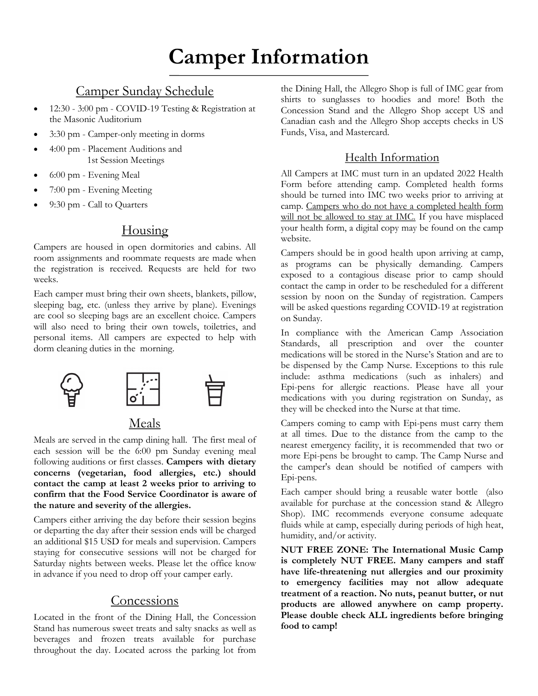# **Camper Information**

#### Camper Sunday Schedule

- 12:30 3:00 pm COVID-19 Testing & Registration at the Masonic Auditorium
- 3:30 pm Camper-only meeting in dorms
- 4:00 pm Placement Auditions and 1st Session Meetings
- 6:00 pm Evening Meal
- 7:00 pm Evening Meeting
- 9:30 pm Call to Quarters

#### Housing

Campers are housed in open dormitories and cabins. All room assignments and roommate requests are made when the registration is received. Requests are held for two weeks.

Each camper must bring their own sheets, blankets, pillow, sleeping bag, etc. (unless they arrive by plane). Evenings are cool so sleeping bags are an excellent choice. Campers will also need to bring their own towels, toiletries, and personal items. All campers are expected to help with dorm cleaning duties in the morning.



# Meals

Meals are served in the camp dining hall. The first meal of each session will be the 6:00 pm Sunday evening meal following auditions or first classes. **Campers with dietary concerns (vegetarian, food allergies, etc.) should contact the camp at least 2 weeks prior to arriving to confirm that the Food Service Coordinator is aware of the nature and severity of the allergies.** 

Campers either arriving the day before their session begins or departing the day after their session ends will be charged an additional \$15 USD for meals and supervision. Campers staying for consecutive sessions will not be charged for Saturday nights between weeks. Please let the office know in advance if you need to drop off your camper early.

#### **Concessions**

Located in the front of the Dining Hall, the Concession Stand has numerous sweet treats and salty snacks as well as beverages and frozen treats available for purchase throughout the day. Located across the parking lot from

the Dining Hall, the Allegro Shop is full of IMC gear from shirts to sunglasses to hoodies and more! Both the Concession Stand and the Allegro Shop accept US and Canadian cash and the Allegro Shop accepts checks in US Funds, Visa, and Mastercard.

#### Health Information

All Campers at IMC must turn in an updated 2022 Health Form before attending camp. Completed health forms should be turned into IMC two weeks prior to arriving at camp. Campers who do not have a completed health form will not be allowed to stay at IMC. If you have misplaced your health form, a digital copy may be found on the camp website.

Campers should be in good health upon arriving at camp, as programs can be physically demanding. Campers exposed to a contagious disease prior to camp should contact the camp in order to be rescheduled for a different session by noon on the Sunday of registration. Campers will be asked questions regarding COVID-19 at registration on Sunday.

In compliance with the American Camp Association Standards, all prescription and over the counter medications will be stored in the Nurse's Station and are to be dispensed by the Camp Nurse. Exceptions to this rule include: asthma medications (such as inhalers) and Epi-pens for allergic reactions. Please have all your medications with you during registration on Sunday, as they will be checked into the Nurse at that time.

Campers coming to camp with Epi-pens must carry them at all times. Due to the distance from the camp to the nearest emergency facility, it is recommended that two or more Epi-pens be brought to camp. The Camp Nurse and the camper's dean should be notified of campers with Epi-pens.

Each camper should bring a reusable water bottle (also available for purchase at the concession stand & Allegro Shop). IMC recommends everyone consume adequate fluids while at camp, especially during periods of high heat, humidity, and/or activity.

**NUT FREE ZONE: The International Music Camp is completely NUT FREE. Many campers and staff have life-threatening nut allergies and our proximity to emergency facilities may not allow adequate treatment of a reaction. No nuts, peanut butter, or nut products are allowed anywhere on camp property. Please double check ALL ingredients before bringing food to camp!**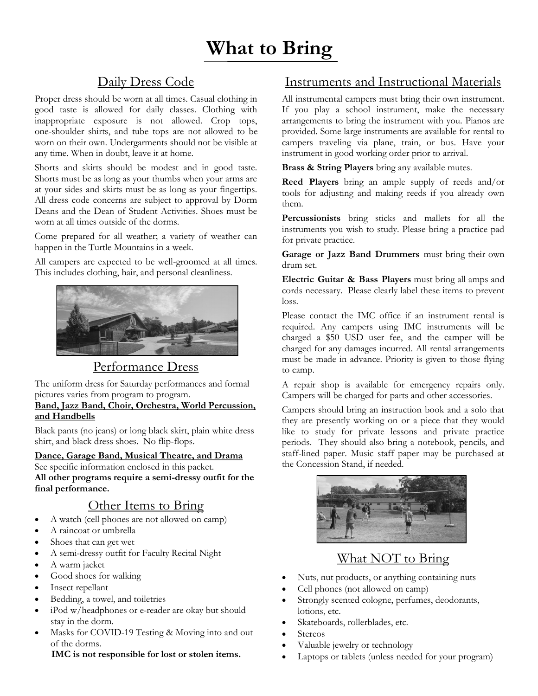# Daily Dress Code

Proper dress should be worn at all times. Casual clothing in good taste is allowed for daily classes. Clothing with inappropriate exposure is not allowed. Crop tops, one-shoulder shirts, and tube tops are not allowed to be worn on their own. Undergarments should not be visible at any time. When in doubt, leave it at home.

Shorts and skirts should be modest and in good taste. Shorts must be as long as your thumbs when your arms are at your sides and skirts must be as long as your fingertips. All dress code concerns are subject to approval by Dorm Deans and the Dean of Student Activities. Shoes must be worn at all times outside of the dorms.

Come prepared for all weather; a variety of weather can happen in the Turtle Mountains in a week.

All campers are expected to be well-groomed at all times. This includes clothing, hair, and personal cleanliness.



#### Performance Dress

The uniform dress for Saturday performances and formal pictures varies from program to program.

#### **Band, Jazz Band, Choir, Orchestra, World Percussion, and Handbells**

Black pants (no jeans) or long black skirt, plain white dress shirt, and black dress shoes. No flip-flops.

#### **Dance, Garage Band, Musical Theatre, and Drama**

See specific information enclosed in this packet.

**All other programs require a semi-dressy outfit for the final performance.**

# Other Items to Bring

- A watch (cell phones are not allowed on camp)
- A raincoat or umbrella
- Shoes that can get wet
- A semi-dressy outfit for Faculty Recital Night
- A warm jacket
- Good shoes for walking
- Insect repellant
- Bedding, a towel, and toiletries
- iPod w/headphones or e-reader are okay but should stay in the dorm.
- Masks for COVID-19 Testing & Moving into and out of the dorms.

**IMC is not responsible for lost or stolen items.**

# Instruments and Instructional Materials

All instrumental campers must bring their own instrument. If you play a school instrument, make the necessary arrangements to bring the instrument with you. Pianos are provided. Some large instruments are available for rental to campers traveling via plane, train, or bus. Have your instrument in good working order prior to arrival.

**Brass & String Players** bring any available mutes.

**Reed Players** bring an ample supply of reeds and/or tools for adjusting and making reeds if you already own them.

**Percussionists** bring sticks and mallets for all the instruments you wish to study. Please bring a practice pad for private practice.

**Garage or Jazz Band Drummers** must bring their own drum set.

**Electric Guitar & Bass Players** must bring all amps and cords necessary. Please clearly label these items to prevent loss.

Please contact the IMC office if an instrument rental is required. Any campers using IMC instruments will be charged a \$50 USD user fee, and the camper will be charged for any damages incurred. All rental arrangements must be made in advance. Priority is given to those flying to camp.

A repair shop is available for emergency repairs only. Campers will be charged for parts and other accessories.

Campers should bring an instruction book and a solo that they are presently working on or a piece that they would like to study for private lessons and private practice periods. They should also bring a notebook, pencils, and staff-lined paper. Music staff paper may be purchased at the Concession Stand, if needed.



# What NOT to Bring

- Nuts, nut products, or anything containing nuts
- Cell phones (not allowed on camp)
- Strongly scented cologne, perfumes, deodorants, lotions, etc.
- Skateboards, rollerblades, etc.
- **Stereos**
- Valuable jewelry or technology
- Laptops or tablets (unless needed for your program)